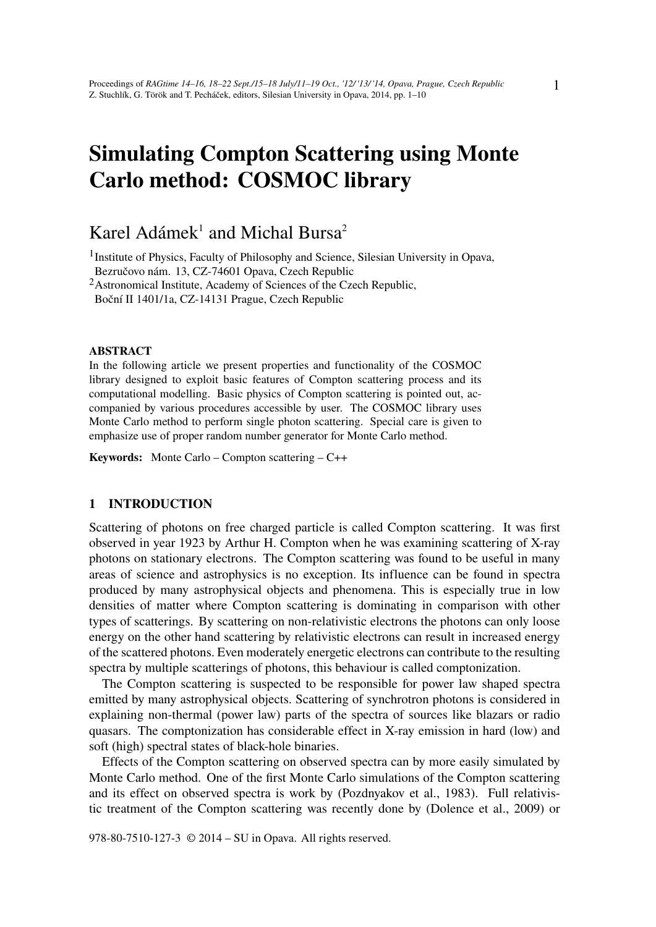# Simulating Compton Scattering using Monte Carlo method: COSMOC library

## Karel Adámek<sup>1</sup> and Michal Bursa<sup>2</sup>

<sup>1</sup>Institute of Physics, Faculty of Philosophy and Science, Silesian University in Opava, Bezručovo nám. 13, CZ-74601 Opava, Czech Republic

<sup>2</sup>Astronomical Institute, Academy of Sciences of the Czech Republic,

Boční II 1401/1a, CZ-14131 Prague, Czech Republic

#### ABSTRACT

In the following article we present properties and functionality of the COSMOC library designed to exploit basic features of Compton scattering process and its computational modelling. Basic physics of Compton scattering is pointed out, accompanied by various procedures accessible by user. The COSMOC library uses Monte Carlo method to perform single photon scattering. Special care is given to emphasize use of proper random number generator for Monte Carlo method.

Keywords: Monte Carlo – Compton scattering – C++

#### 1 INTRODUCTION

Scattering of photons on free charged particle is called Compton scattering. It was first observed in year 1923 by Arthur H. Compton when he was examining scattering of X-ray photons on stationary electrons. The Compton scattering was found to be useful in many areas of science and astrophysics is no exception. Its influence can be found in spectra produced by many astrophysical objects and phenomena. This is especially true in low densities of matter where Compton scattering is dominating in comparison with other types of scatterings. By scattering on non-relativistic electrons the photons can only loose energy on the other hand scattering by relativistic electrons can result in increased energy of the scattered photons. Even moderately energetic electrons can contribute to the resulting spectra by multiple scatterings of photons, this behaviour is called comptonization.

The Compton scattering is suspected to be responsible for power law shaped spectra emitted by many astrophysical objects. Scattering of synchrotron photons is considered in explaining non-thermal (power law) parts of the spectra of sources like blazars or radio quasars. The comptonization has considerable effect in X-ray emission in hard (low) and soft (high) spectral states of black-hole binaries.

Effects of the Compton scattering on observed spectra can by more easily simulated by Monte Carlo method. One of the first Monte Carlo simulations of the Compton scattering and its effect on observed spectra is work by (Pozdnyakov et al., 1983). Full relativistic treatment of the Compton scattering was recently done by (Dolence et al., 2009) or

978-80-7510-127-3 © 2014 – SU in Opava. All rights reserved.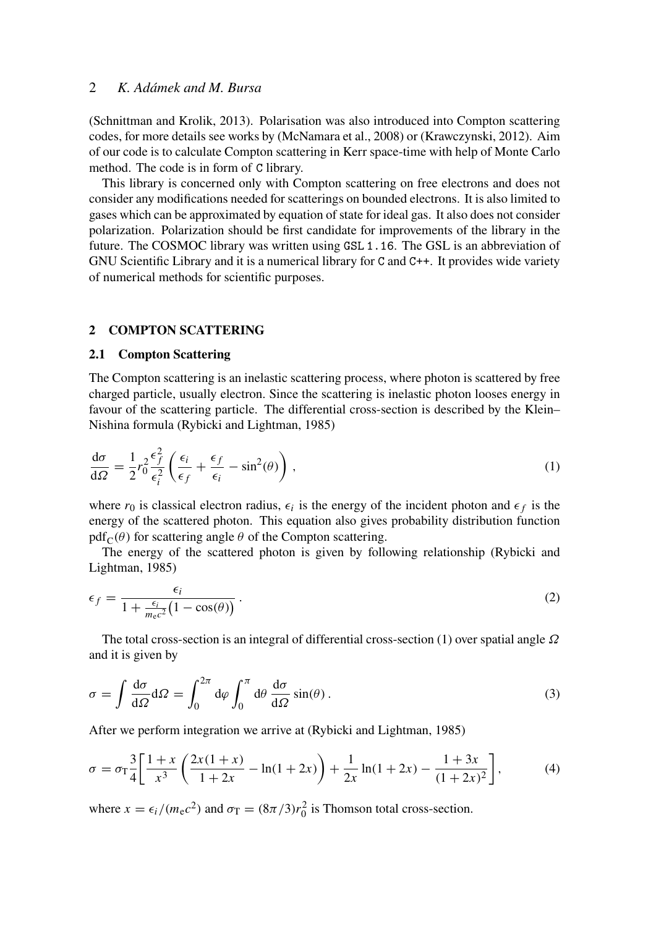(Schnittman and Krolik, 2013). Polarisation was also introduced into Compton scattering codes, for more details see works by (McNamara et al., 2008) or (Krawczynski, 2012). Aim of our code is to calculate Compton scattering in Kerr space-time with help of Monte Carlo method. The code is in form of C library.

This library is concerned only with Compton scattering on free electrons and does not consider any modifications needed for scatterings on bounded electrons. It is also limited to gases which can be approximated by equation of state for ideal gas. It also does not consider polarization. Polarization should be first candidate for improvements of the library in the future. The COSMOC library was written using GSL 1.16. The GSL is an abbreviation of GNU Scientific Library and it is a numerical library for C and C++. It provides wide variety of numerical methods for scientific purposes.

#### 2 COMPTON SCATTERING

#### 2.1 Compton Scattering

The Compton scattering is an inelastic scattering process, where photon is scattered by free charged particle, usually electron. Since the scattering is inelastic photon looses energy in favour of the scattering particle. The differential cross-section is described by the Klein– Nishina formula (Rybicki and Lightman, 1985)

$$
\frac{d\sigma}{d\Omega} = \frac{1}{2}r_0^2 \frac{\epsilon_f^2}{\epsilon_i^2} \left( \frac{\epsilon_i}{\epsilon_f} + \frac{\epsilon_f}{\epsilon_i} - \sin^2(\theta) \right),\tag{1}
$$

where  $r_0$  is classical electron radius,  $\epsilon_i$  is the energy of the incident photon and  $\epsilon_f$  is the energy of the scattered photon. This equation also gives probability distribution function  $pdf_C(\theta)$  for scattering angle  $\theta$  of the Compton scattering.

The energy of the scattered photon is given by following relationship (Rybicki and Lightman, 1985)

$$
\epsilon_f = \frac{\epsilon_i}{1 + \frac{\epsilon_i}{m_e c^2} \left(1 - \cos(\theta)\right)}.
$$
\n(2)

The total cross-section is an integral of differential cross-section (1) over spatial angle  $\Omega$ and it is given by

$$
\sigma = \int \frac{d\sigma}{d\Omega} d\Omega = \int_0^{2\pi} d\varphi \int_0^{\pi} d\theta \frac{d\sigma}{d\Omega} \sin(\theta).
$$
 (3)

After we perform integration we arrive at (Rybicki and Lightman, 1985)

$$
\sigma = \sigma_{\rm T} \frac{3}{4} \left[ \frac{1+x}{x^3} \left( \frac{2x(1+x)}{1+2x} - \ln(1+2x) \right) + \frac{1}{2x} \ln(1+2x) - \frac{1+3x}{(1+2x)^2} \right],\tag{4}
$$

where  $x = \epsilon_i / (m_e c^2)$  and  $\sigma_T = (8\pi/3)r_0^2$  is Thomson total cross-section.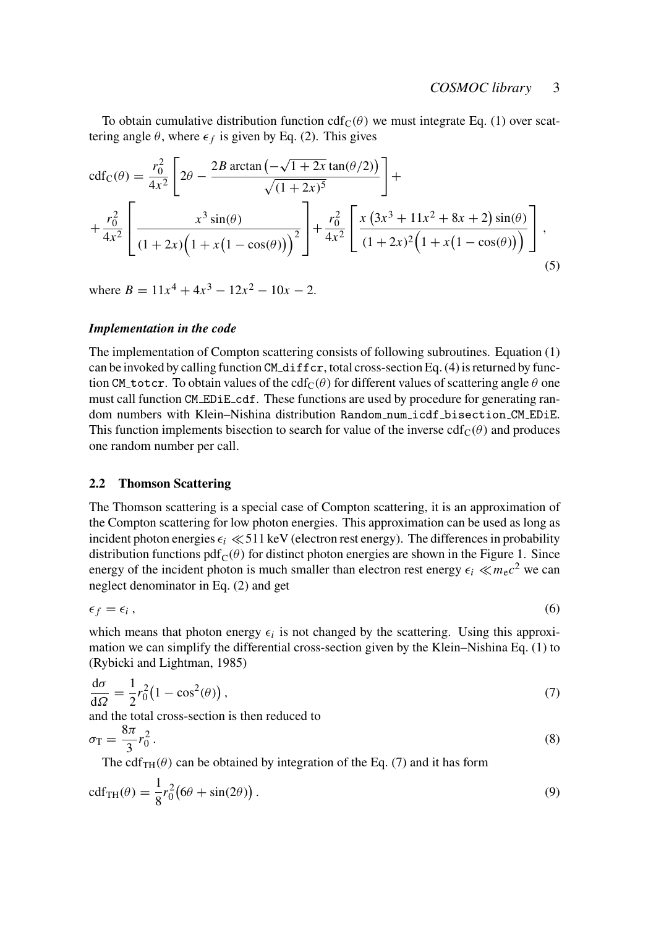To obtain cumulative distribution function cdf<sub>C</sub>( $\theta$ ) we must integrate Eq. (1) over scattering angle  $\theta$ , where  $\epsilon_f$  is given by Eq. (2). This gives

$$
cdf_C(\theta) = \frac{r_0^2}{4x^2} \left[ 2\theta - \frac{2B \arctan(-\sqrt{1+2x} \tan(\theta/2))}{\sqrt{(1+2x)^5}} \right] +
$$
  
+ 
$$
\frac{r_0^2}{4x^2} \left[ \frac{x^3 \sin(\theta)}{(1+2x)\left(1+x(1-\cos(\theta))\right)^2} \right] + \frac{r_0^2}{4x^2} \left[ \frac{x(3x^3+11x^2+8x+2)\sin(\theta)}{(1+2x)^2\left(1+x(1-\cos(\theta))\right)} \right],
$$
(5)

where  $B = 11x^4 + 4x^3 - 12x^2 - 10x - 2$ .

#### *Implementation in the code*

The implementation of Compton scattering consists of following subroutines. Equation (1) can be invoked by calling function CM diffcr, total cross-section Eq. (4) is returned by function CM totcr. To obtain values of the cdf<sub>C</sub>( $\theta$ ) for different values of scattering angle  $\theta$  one must call function CM EDiE cdf. These functions are used by procedure for generating random numbers with Klein–Nishina distribution Random num icdf bisection CM EDiE. This function implements bisection to search for value of the inverse  $cdf_C(\theta)$  and produces one random number per call.

#### 2.2 Thomson Scattering

The Thomson scattering is a special case of Compton scattering, it is an approximation of the Compton scattering for low photon energies. This approximation can be used as long as incident photon energies  $\epsilon_i \ll 511 \text{ keV}$  (electron rest energy). The differences in probability distribution functions  $pdf_C(\theta)$  for distinct photon energies are shown in the Figure 1. Since energy of the incident photon is much smaller than electron rest energy  $\epsilon_i \ll m_e c^2$  we can neglect denominator in Eq. (2) and get

$$
\epsilon_f = \epsilon_i \,, \tag{6}
$$

which means that photon energy  $\epsilon_i$  is not changed by the scattering. Using this approximation we can simplify the differential cross-section given by the Klein–Nishina Eq. (1) to (Rybicki and Lightman, 1985)

$$
\frac{\mathrm{d}\sigma}{\mathrm{d}\Omega} = \frac{1}{2}r_0^2 \left(1 - \cos^2(\theta)\right),\tag{7}
$$

and the total cross-section is then reduced to

$$
\sigma_{\rm T} = \frac{8\pi}{3} r_0^2 \,. \tag{8}
$$

The cdf<sub>TH</sub>( $\theta$ ) can be obtained by integration of the Eq. (7) and it has form

$$
\text{cdf}_{\text{TH}}(\theta) = \frac{1}{8}r_0^2 \big(6\theta + \sin(2\theta)\big). \tag{9}
$$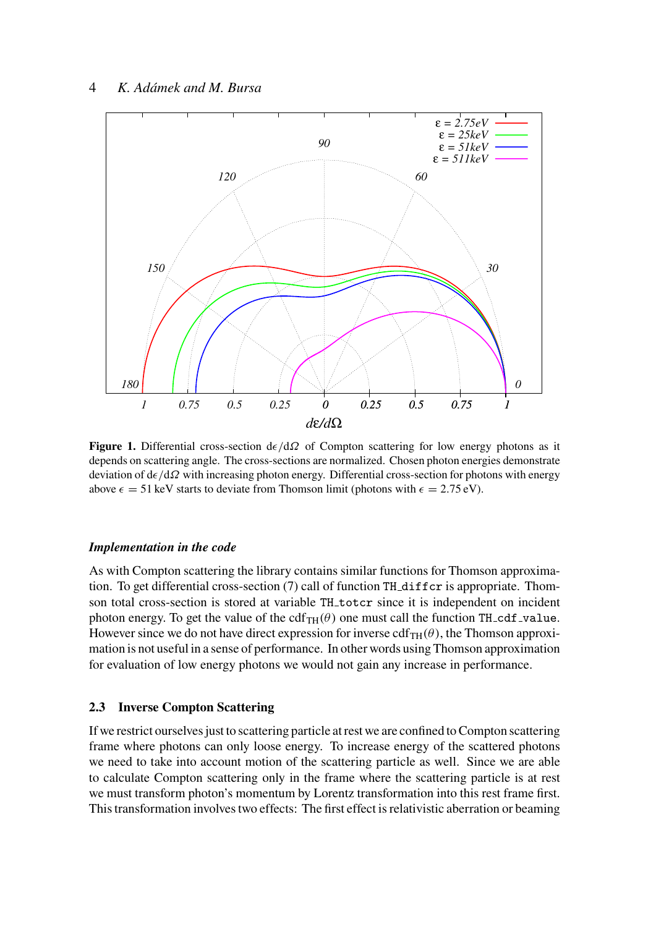

**Figure 1.** Differential cross-section  $d\epsilon/d\Omega$  of Compton scattering for low energy photons as it depends on scattering angle. The cross-sections are normalized. Chosen photon energies demonstrate deviation of  $d\epsilon/d\Omega$  with increasing photon energy. Differential cross-section for photons with energy above  $\epsilon = 51 \text{ keV}$  starts to deviate from Thomson limit (photons with  $\epsilon = 2.75 \text{ eV}$ ).

## *Implementation in the code*

As with Compton scattering the library contains similar functions for Thomson approximation. To get differential cross-section (7) call of function TH diffcr is appropriate. Thomson total cross-section is stored at variable TH\_totcr since it is independent on incident photon energy. To get the value of the cdf<sub>TH</sub>( $\theta$ ) one must call the function TH<sub>-Cdf-value.</sub> However since we do not have direct expression for inverse  $cdf_{TH}(\theta)$ , the Thomson approximation is not useful in a sense of performance. In other words using Thomson approximation for evaluation of low energy photons we would not gain any increase in performance.

## 2.3 Inverse Compton Scattering

If we restrict ourselves just to scattering particle at rest we are confined to Compton scattering frame where photons can only loose energy. To increase energy of the scattered photons we need to take into account motion of the scattering particle as well. Since we are able to calculate Compton scattering only in the frame where the scattering particle is at rest we must transform photon's momentum by Lorentz transformation into this rest frame first. This transformation involves two effects: The first effect is relativistic aberration or beaming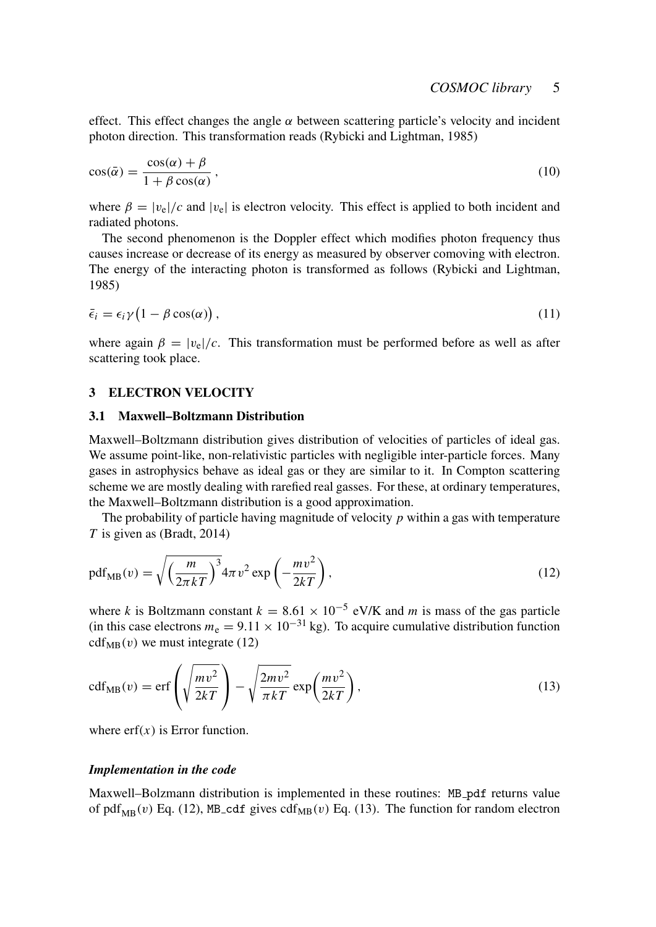effect. This effect changes the angle  $\alpha$  between scattering particle's velocity and incident photon direction. This transformation reads (Rybicki and Lightman, 1985)

$$
\cos(\bar{\alpha}) = \frac{\cos(\alpha) + \beta}{1 + \beta \cos(\alpha)},\tag{10}
$$

where  $\beta = |v_e|/c$  and  $|v_e|$  is electron velocity. This effect is applied to both incident and radiated photons.

The second phenomenon is the Doppler effect which modifies photon frequency thus causes increase or decrease of its energy as measured by observer comoving with electron. The energy of the interacting photon is transformed as follows (Rybicki and Lightman, 1985)

$$
\bar{\epsilon}_i = \epsilon_i \gamma \left( 1 - \beta \cos(\alpha) \right),\tag{11}
$$

where again  $\beta = |v_e|/c$ . This transformation must be performed before as well as after scattering took place.

#### 3 ELECTRON VELOCITY

#### 3.1 Maxwell–Boltzmann Distribution

Maxwell–Boltzmann distribution gives distribution of velocities of particles of ideal gas. We assume point-like, non-relativistic particles with negligible inter-particle forces. Many gases in astrophysics behave as ideal gas or they are similar to it. In Compton scattering scheme we are mostly dealing with rarefied real gasses. For these, at ordinary temperatures, the Maxwell–Boltzmann distribution is a good approximation.

The probability of particle having magnitude of velocity *p* within a gas with temperature *T* is given as (Bradt, 2014)

$$
\text{pdf}_{MB}(v) = \sqrt{\left(\frac{m}{2\pi kT}\right)^3} 4\pi v^2 \exp\left(-\frac{mv^2}{2kT}\right),\tag{12}
$$

where *k* is Boltzmann constant  $k = 8.61 \times 10^{-5}$  eV/K and *m* is mass of the gas particle (in this case electrons  $m_e = 9.11 \times 10^{-31}$  kg). To acquire cumulative distribution function  $cdf_{MB}(v)$  we must integrate (12)

$$
cdf_{MB}(v) = erf\left(\sqrt{\frac{mv^2}{2kT}}\right) - \sqrt{\frac{2mv^2}{\pi kT}} exp\left(\frac{mv^2}{2kT}\right),\tag{13}
$$

where  $erf(x)$  is Error function.

#### *Implementation in the code*

Maxwell–Bolzmann distribution is implemented in these routines: MB pdf returns value of pdf<sub>MB</sub>(v) Eq. (12), MB cdf gives cdf<sub>MB</sub>(v) Eq. (13). The function for random electron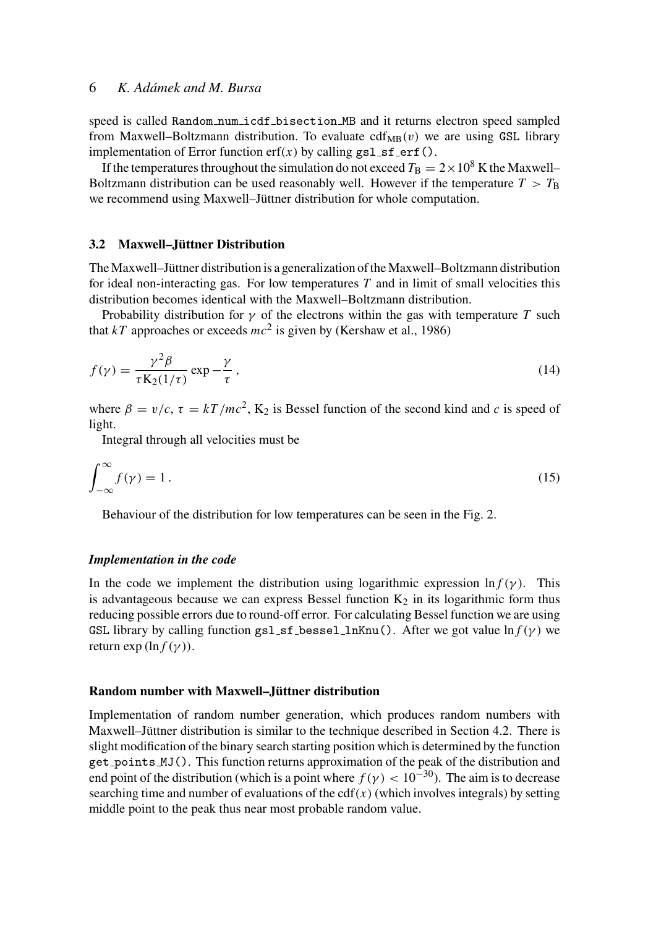speed is called Random num icdf bisection MB and it returns electron speed sampled from Maxwell–Boltzmann distribution. To evaluate  $cdf_{MB}(v)$  we are using GSL library implementation of Error function  $erf(x)$  by calling gsl\_sf\_erf().

If the temperatures throughout the simulation do not exceed  $T<sub>B</sub> = 2 \times 10^8$  K the Maxwell– Boltzmann distribution can be used reasonably well. However if the temperature  $T > T<sub>B</sub>$ we recommend using Maxwell–Jüttner distribution for whole computation.

#### 3.2 Maxwell–Jüttner Distribution

The Maxwell–Jüttner distribution is a generalization of the Maxwell–Boltzmann distribution for ideal non-interacting gas. For low temperatures *T* and in limit of small velocities this distribution becomes identical with the Maxwell–Boltzmann distribution.

Probability distribution for  $\gamma$  of the electrons within the gas with temperature *T* such that  $kT$  approaches or exceeds  $mc^2$  is given by (Kershaw et al., 1986)

$$
f(\gamma) = \frac{\gamma^2 \beta}{\tau K_2(1/\tau)} \exp{-\frac{\gamma}{\tau}},
$$
\n(14)

where  $\beta = v/c$ ,  $\tau = kT/mc^2$ , K<sub>2</sub> is Bessel function of the second kind and *c* is speed of light.

Integral through all velocities must be

$$
\int_{-\infty}^{\infty} f(\gamma) = 1.
$$
 (15)

Behaviour of the distribution for low temperatures can be seen in the Fig. 2.

#### *Implementation in the code*

In the code we implement the distribution using logarithmic expression  $\ln f(\gamma)$ . This is advantageous because we can express Bessel function  $K_2$  in its logarithmic form thus reducing possible errors due to round-off error. For calculating Bessel function we are using GSL library by calling function gsl\_sf\_bessel\_lnKnu(). After we got value  $\ln f(\gamma)$  we return exp  $(\ln f(\gamma))$ .

#### Random number with Maxwell–Jüttner distribution

Implementation of random number generation, which produces random numbers with Maxwell–Jüttner distribution is similar to the technique described in Section 4.2. There is slight modification of the binary search starting position which is determined by the function get points MJ(). This function returns approximation of the peak of the distribution and end point of the distribution (which is a point where  $f(\gamma) < 10^{-30}$ ). The aim is to decrease searching time and number of evaluations of the  $cdf(x)$  (which involves integrals) by setting middle point to the peak thus near most probable random value.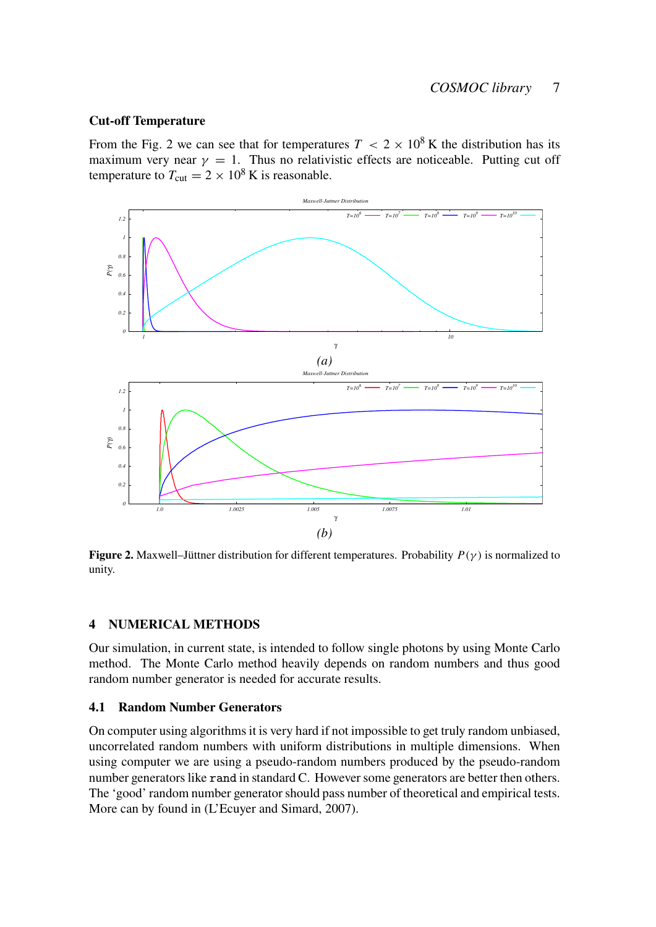## Cut-off Temperature

From the Fig. 2 we can see that for temperatures  $T < 2 \times 10^8$  K the distribution has its maximum very near  $\gamma = 1$ . Thus no relativistic effects are noticeable. Putting cut off temperature to  $T_{\text{cut}} = 2 \times 10^8 \text{ K}$  is reasonable.



**Figure 2.** Maxwell–Jüttner distribution for different temperatures. Probability  $P(\gamma)$  is normalized to unity.

## 4 NUMERICAL METHODS

Our simulation, in current state, is intended to follow single photons by using Monte Carlo method. The Monte Carlo method heavily depends on random numbers and thus good random number generator is needed for accurate results.

## 4.1 Random Number Generators

On computer using algorithms it is very hard if not impossible to get truly random unbiased, uncorrelated random numbers with uniform distributions in multiple dimensions. When using computer we are using a pseudo-random numbers produced by the pseudo-random number generators like rand in standard C. However some generators are better then others. The 'good' random number generator should pass number of theoretical and empirical tests. More can by found in (L'Ecuyer and Simard, 2007).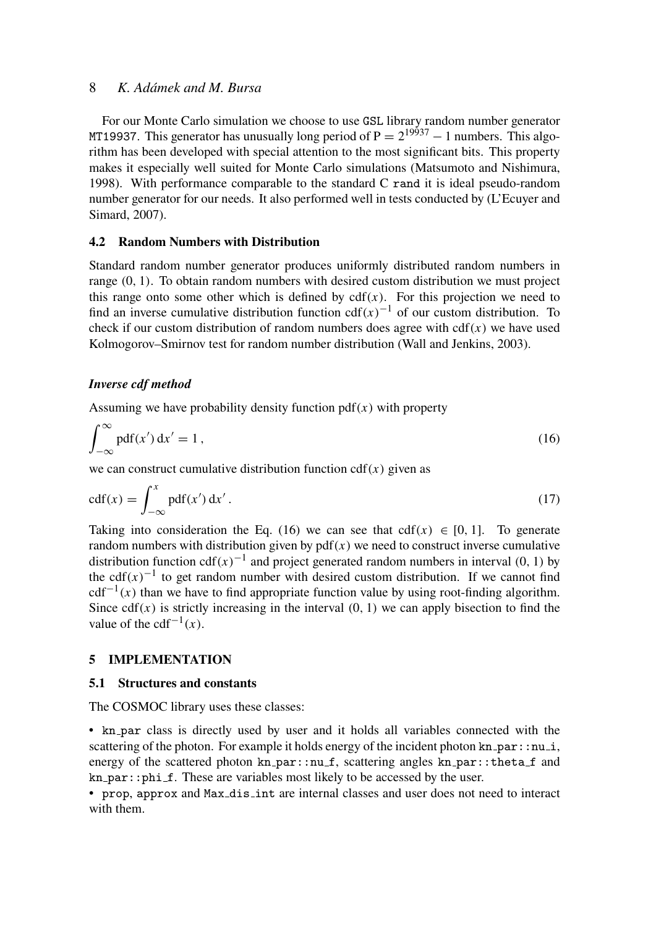For our Monte Carlo simulation we choose to use GSL library random number generator MT19937. This generator has unusually long period of  $P = 2^{19937} - 1$  numbers. This algorithm has been developed with special attention to the most significant bits. This property makes it especially well suited for Monte Carlo simulations (Matsumoto and Nishimura, 1998). With performance comparable to the standard C rand it is ideal pseudo-random number generator for our needs. It also performed well in tests conducted by (L'Ecuyer and Simard, 2007).

## 4.2 Random Numbers with Distribution

Standard random number generator produces uniformly distributed random numbers in range (0, 1). To obtain random numbers with desired custom distribution we must project this range onto some other which is defined by  $cdf(x)$ . For this projection we need to find an inverse cumulative distribution function  $cdf(x)^{-1}$  of our custom distribution. To check if our custom distribution of random numbers does agree with  $cdf(x)$  we have used Kolmogorov–Smirnov test for random number distribution (Wall and Jenkins, 2003).

## *Inverse cdf method*

Assuming we have probability density function  $pdf(x)$  with property

$$
\int_{-\infty}^{\infty} \text{pdf}(x') \, \mathrm{d}x' = 1 \,, \tag{16}
$$

we can construct cumulative distribution function  $cdf(x)$  given as

$$
cdf(x) = \int_{-\infty}^{x} pdf(x') dx'.
$$
 (17)

Taking into consideration the Eq. (16) we can see that cdf( $x$ )  $\in$  [0, 1]. To generate random numbers with distribution given by  $pdf(x)$  we need to construct inverse cumulative distribution function cdf $(x)^{-1}$  and project generated random numbers in interval (0, 1) by the cdf $(x)^{-1}$  to get random number with desired custom distribution. If we cannot find  $cdf^{-1}(x)$  than we have to find appropriate function value by using root-finding algorithm. Since cdf(x) is strictly increasing in the interval  $(0, 1)$  we can apply bisection to find the value of the cdf<sup> $-1(x)$ </sup>.

#### 5 IMPLEMENTATION

## 5.1 Structures and constants

The COSMOC library uses these classes:

• kn par class is directly used by user and it holds all variables connected with the scattering of the photon. For example it holds energy of the incident photon  $kn\_par: :nu_i$ , energy of the scattered photon  $kn\_par::nu.f$ , scattering angles  $kn\_par::theta.f$  and  $kn$  par::phi f. These are variables most likely to be accessed by the user.

• prop, approx and Max dis int are internal classes and user does not need to interact with them.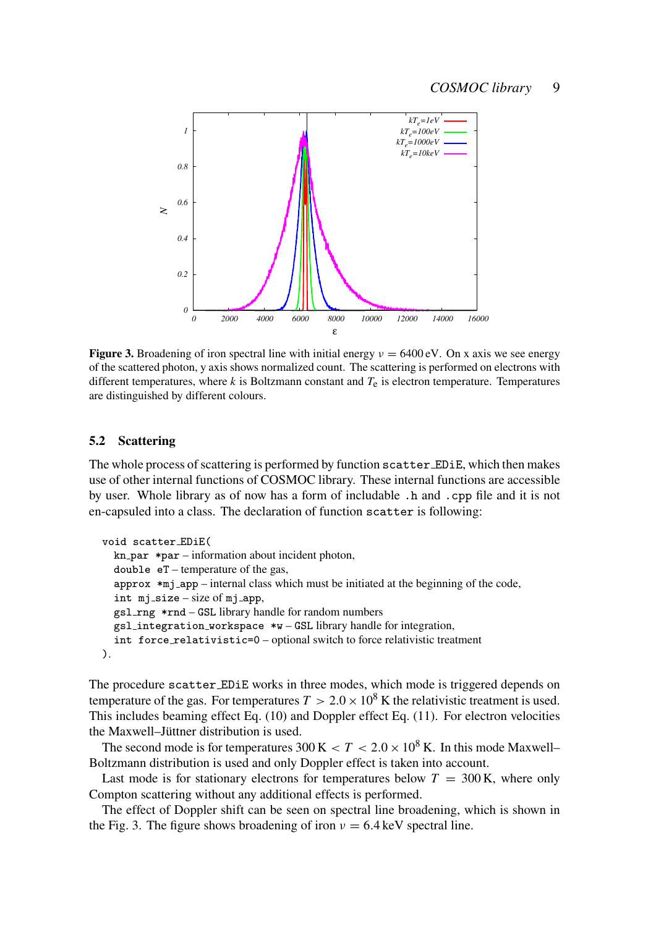

**Figure 3.** Broadening of iron spectral line with initial energy  $v = 6400 \text{ eV}$ . On x axis we see energy of the scattered photon, y axis shows normalized count. The scattering is performed on electrons with different temperatures, where  $k$  is Boltzmann constant and  $T_e$  is electron temperature. Temperatures are distinguished by different colours.

## 5.2 Scattering

The whole process of scattering is performed by function scatter EDiE, which then makes use of other internal functions of COSMOC library. These internal functions are accessible by user. Whole library as of now has a form of includable .h and .cpp file and it is not en-capsuled into a class. The declaration of function scatter is following:

```
void scatter EDiE(
  kn-par *par – information about incident photon,
  double eT – temperature of the gas,
  approx *mj_app – internal class which must be initiated at the beginning of the code,
  int mj size – size of mj app,
  gsl rng *rnd – GSL library handle for random numbers
  gsl integration workspace *w – GSL library handle for integration,
  int force relativistic=0 – optional switch to force relativistic treatment
).
```
The procedure scatter EDiE works in three modes, which mode is triggered depends on temperature of the gas. For temperatures  $T > 2.0 \times 10^8$  K the relativistic treatment is used. This includes beaming effect Eq. (10) and Doppler effect Eq. (11). For electron velocities the Maxwell–Jüttner distribution is used.

The second mode is for temperatures  $300 \text{ K} < T < 2.0 \times 10^8 \text{ K}$ . In this mode Maxwell– Boltzmann distribution is used and only Doppler effect is taken into account.

Last mode is for stationary electrons for temperatures below  $T = 300$  K, where only Compton scattering without any additional effects is performed.

The effect of Doppler shift can be seen on spectral line broadening, which is shown in the Fig. 3. The figure shows broadening of iron  $v = 6.4$  keV spectral line.